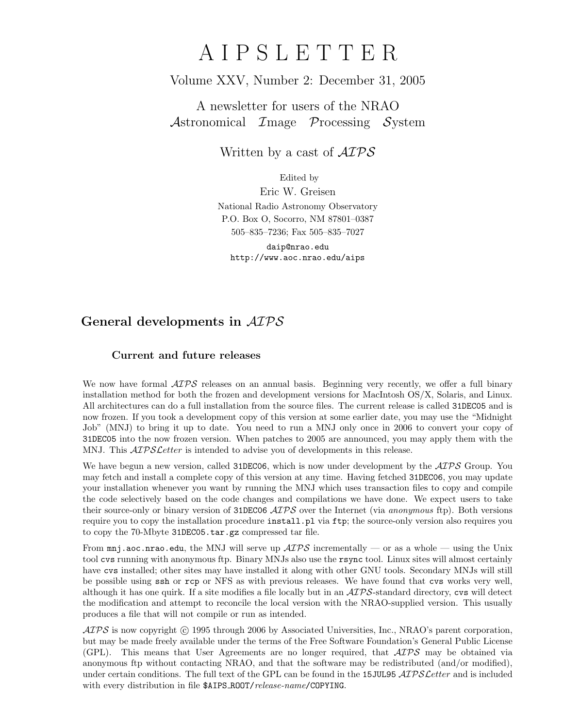# A I P S L E T T E R

## Volume XXV, Number 2: December 31, 2005

A newsletter for users of the NRAO Astronomical Image Processing System

Written by a cast of  $\mathcal{AIPS}$ 

Edited by Eric W. Greisen National Radio Astronomy Observatory P.O. Box O, Socorro, NM 87801–0387 505–835–7236; Fax 505–835–7027 daip@nrao.edu

http://www.aoc.nrao.edu/aips

# General developments in AIPS

### Current and future releases

We now have formal  $\mathcal{A} \mathcal{I} \mathcal{P} \mathcal{S}$  releases on an annual basis. Beginning very recently, we offer a full binary installation method for both the frozen and development versions for MacIntosh OS/X, Solaris, and Linux. All architectures can do a full installation from the source files. The current release is called 31DEC05 and is now frozen. If you took a development copy of this version at some earlier date, you may use the "Midnight Job" (MNJ) to bring it up to date. You need to run a MNJ only once in 2006 to convert your copy of 31DEC05 into the now frozen version. When patches to 2005 are announced, you may apply them with the MNJ. This  $\mathcal{A}TPS\mathcal{L}etter$  is intended to advise you of developments in this release.

We have begun a new version, called 31DEC06, which is now under development by the  $\mathcal{ATPS}$  Group. You may fetch and install a complete copy of this version at any time. Having fetched 31DEC06, you may update your installation whenever you want by running the MNJ which uses transaction files to copy and compile the code selectively based on the code changes and compilations we have done. We expect users to take their source-only or binary version of 31DEC06  $\mathcal{AIPS}$  over the Internet (via anonymous ftp). Both versions require you to copy the installation procedure install.pl via ftp; the source-only version also requires you to copy the 70-Mbyte 31DEC05.tar.gz compressed tar file.

From  $\text{mn}$  aoc.nrao.edu, the MNJ will serve up  $\mathcal{AIPS}$  incrementally — or as a whole — using the Unix tool cvs running with anonymous ftp. Binary MNJs also use the rsync tool. Linux sites will almost certainly have cvs installed; other sites may have installed it along with other GNU tools. Secondary MNJs will still be possible using ssh or rcp or NFS as with previous releases. We have found that cvs works very well, although it has one quirk. If a site modifies a file locally but in an  $\mathcal{AIPS}\text{-}standard$  directory, cvs will detect the modification and attempt to reconcile the local version with the NRAO-supplied version. This usually produces a file that will not compile or run as intended.

 $ATPS$  is now copyright  $\odot$  1995 through 2006 by Associated Universities, Inc., NRAO's parent corporation, but may be made freely available under the terms of the Free Software Foundation's General Public License (GPL). This means that User Agreements are no longer required, that  $\mathcal{AIPS}$  may be obtained via anonymous ftp without contacting NRAO, and that the software may be redistributed (and/or modified), under certain conditions. The full text of the GPL can be found in the 15JUL95  $\mathcal{AIPS}\mathcal{L}etter$  and is included with every distribution in file \$AIPS\_ROOT/release-name/COPYING.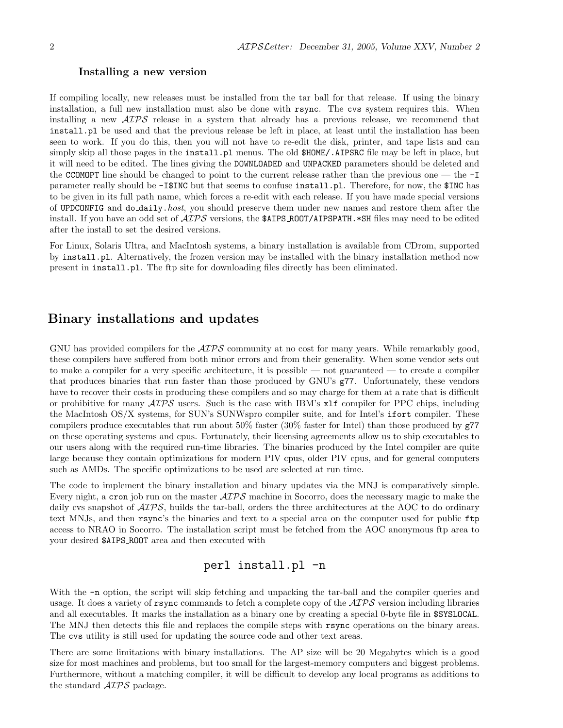#### Installing a new version

If compiling locally, new releases must be installed from the tar ball for that release. If using the binary installation, a full new installation must also be done with rsync. The cvs system requires this. When installing a new AIPS release in a system that already has a previous release, we recommend that install.pl be used and that the previous release be left in place, at least until the installation has been seen to work. If you do this, then you will not have to re-edit the disk, printer, and tape lists and can simply skip all those pages in the install.pl menus. The old  $$HOME/$ .AIPSRC file may be left in place, but it will need to be edited. The lines giving the DOWNLOADED and UNPACKED parameters should be deleted and the CCOMOPT line should be changed to point to the current release rather than the previous one — the -I parameter really should be -I\$INC but that seems to confuse install.pl. Therefore, for now, the \$INC has to be given in its full path name, which forces a re-edit with each release. If you have made special versions of UPDCONFIG and do daily.host, you should preserve them under new names and restore them after the install. If you have an odd set of  $\mathcal{A}TP\mathcal{S}$  versions, the \$AIPS ROOT/AIPSPATH. \*SH files may need to be edited after the install to set the desired versions.

For Linux, Solaris Ultra, and MacIntosh systems, a binary installation is available from CDrom, supported by install.pl. Alternatively, the frozen version may be installed with the binary installation method now present in install.pl. The ftp site for downloading files directly has been eliminated.

## Binary installations and updates

GNU has provided compilers for the  $\mathcal{AIPS}$  community at no cost for many years. While remarkably good, these compilers have suffered from both minor errors and from their generality. When some vendor sets out to make a compiler for a very specific architecture, it is possible — not guaranteed — to create a compiler that produces binaries that run faster than those produced by GNU's g77. Unfortunately, these vendors have to recover their costs in producing these compilers and so may charge for them at a rate that is difficult or prohibitive for many  $\mathcal{AIPS}$  users. Such is the case with IBM's  $x1f$  compiler for PPC chips, including the MacIntosh OS/X systems, for SUN's SUNWspro compiler suite, and for Intel's ifort compiler. These compilers produce executables that run about 50% faster (30% faster for Intel) than those produced by g77 on these operating systems and cpus. Fortunately, their licensing agreements allow us to ship executables to our users along with the required run-time libraries. The binaries produced by the Intel compiler are quite large because they contain optimizations for modern PIV cpus, older PIV cpus, and for general computers such as AMDs. The specific optimizations to be used are selected at run time.

The code to implement the binary installation and binary updates via the MNJ is comparatively simple. Every night, a cron job run on the master AIPS machine in Socorro, does the necessary magic to make the daily cvs snapshot of  $\mathcal{A}TP\mathcal{S}$ , builds the tar-ball, orders the three architectures at the AOC to do ordinary text MNJs, and then rsync's the binaries and text to a special area on the computer used for public ftp access to NRAO in Socorro. The installation script must be fetched from the AOC anonymous ftp area to your desired \$AIPS ROOT area and then executed with

## perl install.pl -n

With the  $-n$  option, the script will skip fetching and unpacking the tar-ball and the compiler queries and usage. It does a variety of rsync commands to fetch a complete copy of the  $\mathcal{AIPS}$  version including libraries and all executables. It marks the installation as a binary one by creating a special 0-byte file in \$SYSLOCAL. The MNJ then detects this file and replaces the compile steps with rsync operations on the binary areas. The cvs utility is still used for updating the source code and other text areas.

There are some limitations with binary installations. The AP size will be 20 Megabytes which is a good size for most machines and problems, but too small for the largest-memory computers and biggest problems. Furthermore, without a matching compiler, it will be difficult to develop any local programs as additions to the standard AIPS package.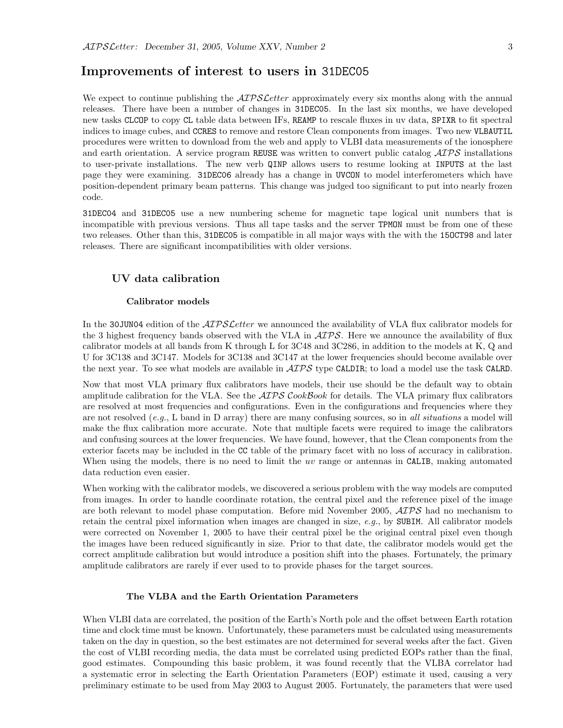## Improvements of interest to users in 31DEC05

We expect to continue publishing the  $\mathcal{AIPSLetter}$  approximately every six months along with the annual releases. There have been a number of changes in 31DEC05. In the last six months, we have developed new tasks CLCOP to copy CL table data between IFs, REAMP to rescale fluxes in uv data, SPIXR to fit spectral indices to image cubes, and CCRES to remove and restore Clean components from images. Two new VLBAUTIL procedures were written to download from the web and apply to VLBI data measurements of the ionosphere and earth orientation. A service program REUSE was written to convert public catalog  $\mathcal{ATPS}$  installations to user-private installations. The new verb QINP allows users to resume looking at INPUTS at the last page they were examining. 31DEC06 already has a change in UVCON to model interferometers which have position-dependent primary beam patterns. This change was judged too significant to put into nearly frozen code.

31DEC04 and 31DEC05 use a new numbering scheme for magnetic tape logical unit numbers that is incompatible with previous versions. Thus all tape tasks and the server TPMON must be from one of these two releases. Other than this, 31DEC05 is compatible in all major ways with the with the 15OCT98 and later releases. There are significant incompatibilities with older versions.

#### UV data calibration

#### Calibrator models

In the 30JUN04 edition of the *AIPS Letter* we announced the availability of VLA flux calibrator models for the 3 highest frequency bands observed with the VLA in  $\mathcal{AIPS}$ . Here we announce the availability of flux calibrator models at all bands from K through L for 3C48 and 3C286, in addition to the models at K, Q and U for 3C138 and 3C147. Models for 3C138 and 3C147 at the lower frequencies should become available over the next year. To see what models are available in  $\mathcal{AIPS}$  type CALDIR; to load a model use the task CALRD.

Now that most VLA primary flux calibrators have models, their use should be the default way to obtain amplitude calibration for the VLA. See the  $\mathcal{AIPS} \mathcal{C}ookBook$  for details. The VLA primary flux calibrators are resolved at most frequencies and configurations. Even in the configurations and frequencies where they are not resolved  $(e,q)$ . L band in D array) there are many confusing sources, so in all situations a model will make the flux calibration more accurate. Note that multiple facets were required to image the calibrators and confusing sources at the lower frequencies. We have found, however, that the Clean components from the exterior facets may be included in the CC table of the primary facet with no loss of accuracy in calibration. When using the models, there is no need to limit the uv range or antennas in CALIB, making automated data reduction even easier.

When working with the calibrator models, we discovered a serious problem with the way models are computed from images. In order to handle coordinate rotation, the central pixel and the reference pixel of the image are both relevant to model phase computation. Before mid November 2005,  $\mathcal{AIPS}$  had no mechanism to retain the central pixel information when images are changed in size, e.g., by SUBIM. All calibrator models were corrected on November 1, 2005 to have their central pixel be the original central pixel even though the images have been reduced significantly in size. Prior to that date, the calibrator models would get the correct amplitude calibration but would introduce a position shift into the phases. Fortunately, the primary amplitude calibrators are rarely if ever used to to provide phases for the target sources.

#### The VLBA and the Earth Orientation Parameters

When VLBI data are correlated, the position of the Earth's North pole and the offset between Earth rotation time and clock time must be known. Unfortunately, these parameters must be calculated using measurements taken on the day in question, so the best estimates are not determined for several weeks after the fact. Given the cost of VLBI recording media, the data must be correlated using predicted EOPs rather than the final, good estimates. Compounding this basic problem, it was found recently that the VLBA correlator had a systematic error in selecting the Earth Orientation Parameters (EOP) estimate it used, causing a very preliminary estimate to be used from May 2003 to August 2005. Fortunately, the parameters that were used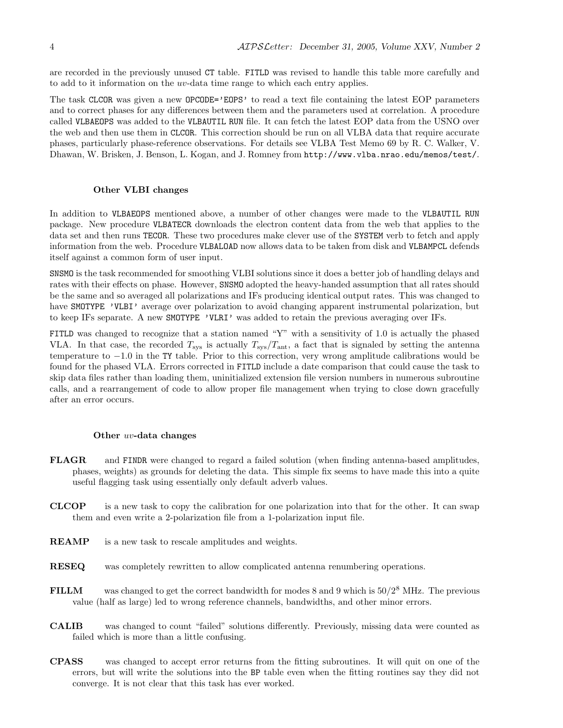are recorded in the previously unused CT table. FITLD was revised to handle this table more carefully and to add to it information on the uv-data time range to which each entry applies.

The task CLCOR was given a new OPCODE='EOPS' to read a text file containing the latest EOP parameters and to correct phases for any differences between them and the parameters used at correlation. A procedure called VLBAEOPS was added to the VLBAUTIL RUN file. It can fetch the latest EOP data from the USNO over the web and then use them in CLCOR. This correction should be run on all VLBA data that require accurate phases, particularly phase-reference observations. For details see VLBA Test Memo 69 by R. C. Walker, V. Dhawan, W. Brisken, J. Benson, L. Kogan, and J. Romney from http://www.vlba.nrao.edu/memos/test/.

#### Other VLBI changes

In addition to VLBAEOPS mentioned above, a number of other changes were made to the VLBAUTIL RUN package. New procedure VLBATECR downloads the electron content data from the web that applies to the data set and then runs TECOR. These two procedures make clever use of the SYSTEM verb to fetch and apply information from the web. Procedure VLBALOAD now allows data to be taken from disk and VLBAMPCL defends itself against a common form of user input.

SNSMO is the task recommended for smoothing VLBI solutions since it does a better job of handling delays and rates with their effects on phase. However, SNSMO adopted the heavy-handed assumption that all rates should be the same and so averaged all polarizations and IFs producing identical output rates. This was changed to have SMOTYPE 'VLBI' average over polarization to avoid changing apparent instrumental polarization, but to keep IFs separate. A new SMOTYPE 'VLRI' was added to retain the previous averaging over IFs.

FITLD was changed to recognize that a station named "Y" with a sensitivity of 1.0 is actually the phased VLA. In that case, the recorded  $T_{\rm sys}$  is actually  $T_{\rm sys}/T_{\rm ant}$ , a fact that is signaled by setting the antenna temperature to −1.0 in the TY table. Prior to this correction, very wrong amplitude calibrations would be found for the phased VLA. Errors corrected in FITLD include a date comparison that could cause the task to skip data files rather than loading them, uninitialized extension file version numbers in numerous subroutine calls, and a rearrangement of code to allow proper file management when trying to close down gracefully after an error occurs.

#### Other uv-data changes

- FLAGR and FINDR were changed to regard a failed solution (when finding antenna-based amplitudes, phases, weights) as grounds for deleting the data. This simple fix seems to have made this into a quite useful flagging task using essentially only default adverb values.
- CLCOP is a new task to copy the calibration for one polarization into that for the other. It can swap them and even write a 2-polarization file from a 1-polarization input file.
- REAMP is a new task to rescale amplitudes and weights.
- RESEQ was completely rewritten to allow complicated antenna renumbering operations.
- FILLM was changed to get the correct bandwidth for modes  $8$  and  $9$  which is  $50/2^8$  MHz. The previous value (half as large) led to wrong reference channels, bandwidths, and other minor errors.
- CALIB was changed to count "failed" solutions differently. Previously, missing data were counted as failed which is more than a little confusing.
- CPASS was changed to accept error returns from the fitting subroutines. It will quit on one of the errors, but will write the solutions into the BP table even when the fitting routines say they did not converge. It is not clear that this task has ever worked.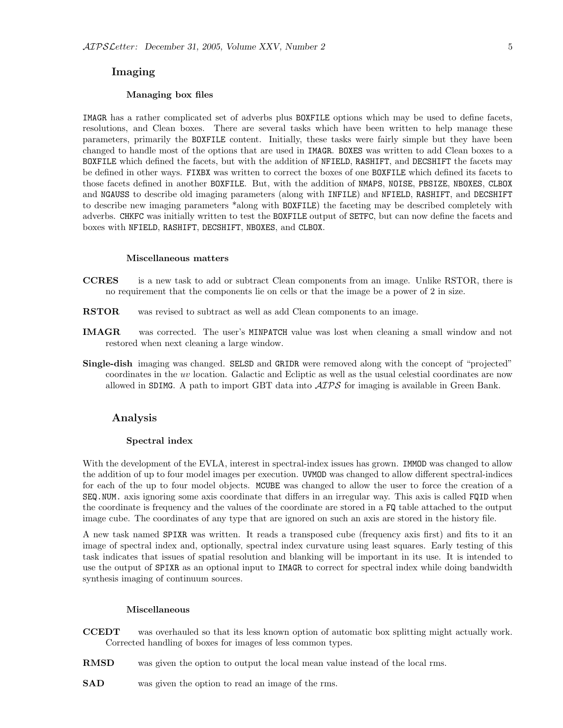#### Imaging

#### Managing box files

IMAGR has a rather complicated set of adverbs plus BOXFILE options which may be used to define facets, resolutions, and Clean boxes. There are several tasks which have been written to help manage these parameters, primarily the BOXFILE content. Initially, these tasks were fairly simple but they have been changed to handle most of the options that are used in IMAGR. BOXES was written to add Clean boxes to a BOXFILE which defined the facets, but with the addition of NFIELD, RASHIFT, and DECSHIFT the facets may be defined in other ways. FIXBX was written to correct the boxes of one BOXFILE which defined its facets to those facets defined in another BOXFILE. But, with the addition of NMAPS, NOISE, PBSIZE, NBOXES, CLBOX and NGAUSS to describe old imaging parameters (along with INFILE) and NFIELD, RASHIFT, and DECSHIFT to describe new imaging parameters \*along with BOXFILE) the faceting may be described completely with adverbs. CHKFC was initially written to test the BOXFILE output of SETFC, but can now define the facets and boxes with NFIELD, RASHIFT, DECSHIFT, NBOXES, and CLBOX.

#### Miscellaneous matters

- CCRES is a new task to add or subtract Clean components from an image. Unlike RSTOR, there is no requirement that the components lie on cells or that the image be a power of 2 in size.
- **RSTOR** was revised to subtract as well as add Clean components to an image.
- IMAGR was corrected. The user's MINPATCH value was lost when cleaning a small window and not restored when next cleaning a large window.
- Single-dish imaging was changed. SELSD and GRIDR were removed along with the concept of "projected" coordinates in the uv location. Galactic and Ecliptic as well as the usual celestial coordinates are now allowed in SDIMG. A path to import GBT data into  $\mathcal{AIPS}$  for imaging is available in Green Bank.

#### Analysis

#### Spectral index

With the development of the EVLA, interest in spectral-index issues has grown. **IMMOD** was changed to allow the addition of up to four model images per execution. UVMOD was changed to allow different spectral-indices for each of the up to four model objects. MCUBE was changed to allow the user to force the creation of a SEQ.NUM. axis ignoring some axis coordinate that differs in an irregular way. This axis is called FQID when the coordinate is frequency and the values of the coordinate are stored in a FQ table attached to the output image cube. The coordinates of any type that are ignored on such an axis are stored in the history file.

A new task named SPIXR was written. It reads a transposed cube (frequency axis first) and fits to it an image of spectral index and, optionally, spectral index curvature using least squares. Early testing of this task indicates that issues of spatial resolution and blanking will be important in its use. It is intended to use the output of SPIXR as an optional input to IMAGR to correct for spectral index while doing bandwidth synthesis imaging of continuum sources.

#### Miscellaneous

- CCEDT was overhauled so that its less known option of automatic box splitting might actually work. Corrected handling of boxes for images of less common types.
- RMSD was given the option to output the local mean value instead of the local rms.
- SAD was given the option to read an image of the rms.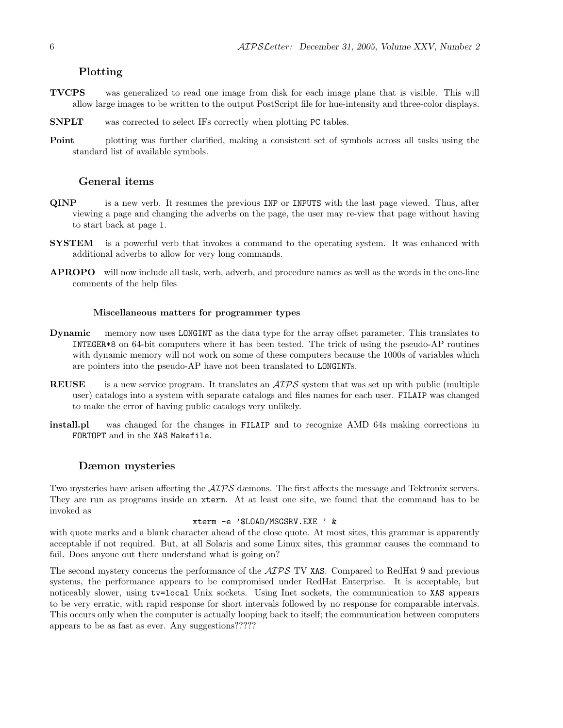#### Plotting

- TVCPS was generalized to read one image from disk for each image plane that is visible. This will allow large images to be written to the output PostScript file for hue-intensity and three-color displays.
- SNPLT was corrected to select IFs correctly when plotting PC tables.
- Point plotting was further clarified, making a consistent set of symbols across all tasks using the standard list of available symbols.

#### General items

- QINP is a new verb. It resumes the previous INP or INPUTS with the last page viewed. Thus, after viewing a page and changing the adverbs on the page, the user may re-view that page without having to start back at page 1.
- **SYSTEM** is a powerful verb that invokes a command to the operating system. It was enhanced with additional adverbs to allow for very long commands.
- APROPO will now include all task, verb, adverb, and procedure names as well as the words in the one-line comments of the help files

#### Miscellaneous matters for programmer types

- Dynamic memory now uses LONGINT as the data type for the array offset parameter. This translates to INTEGER\*8 on 64-bit computers where it has been tested. The trick of using the pseudo-AP routines with dynamic memory will not work on some of these computers because the 1000s of variables which are pointers into the pseudo-AP have not been translated to LONGINTs.
- REUSE is a new service program. It translates an  $\mathcal{AIPS}$  system that was set up with public (multiple user) catalogs into a system with separate catalogs and files names for each user. FILAIP was changed to make the error of having public catalogs very unlikely.
- install.pl was changed for the changes in FILAIP and to recognize AMD 64s making corrections in FORTOPT and in the XAS Makefile.

#### Dæmon mysteries

Two mysteries have arisen affecting the  $\mathcal{AIPS}$  dæmons. The first affects the message and Tektronix servers. They are run as programs inside an xterm. At at least one site, we found that the command has to be invoked as

#### xterm -e '\$LOAD/MSGSRV.EXE ' &

with quote marks and a blank character ahead of the close quote. At most sites, this grammar is apparently acceptable if not required. But, at all Solaris and some Linux sites, this grammar causes the command to fail. Does anyone out there understand what is going on?

The second mystery concerns the performance of the  $ATPS$  TV XAS. Compared to RedHat 9 and previous systems, the performance appears to be compromised under RedHat Enterprise. It is acceptable, but noticeably slower, using tv=local Unix sockets. Using Inet sockets, the communication to XAS appears to be very erratic, with rapid response for short intervals followed by no response for comparable intervals. This occurs only when the computer is actually looping back to itself; the communication between computers appears to be as fast as ever. Any suggestions?????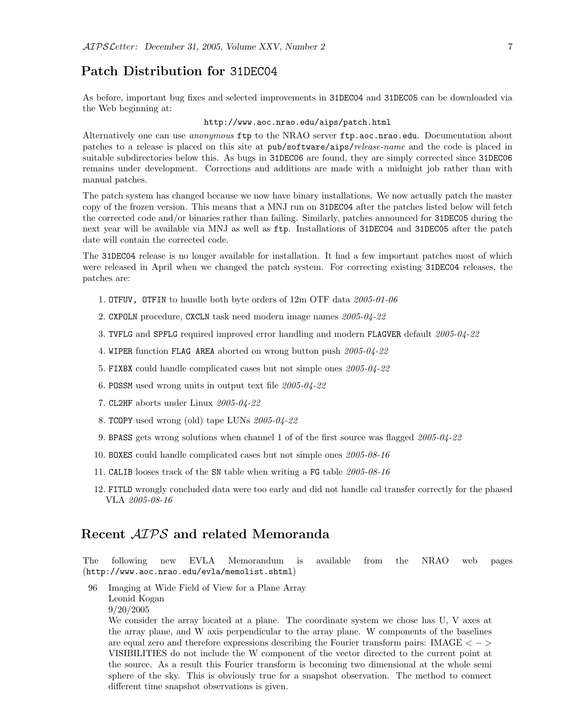## Patch Distribution for 31DEC04

As before, important bug fixes and selected improvements in 31DEC04 and 31DEC05 can be downloaded via the Web beginning at:

#### http://www.aoc.nrao.edu/aips/patch.html

Alternatively one can use *anonymous* ftp to the NRAO server ftp.aoc.nrao.edu. Documentation about patches to a release is placed on this site at pub/software/aips/release-name and the code is placed in suitable subdirectories below this. As bugs in 31DEC06 are found, they are simply corrected since 31DEC06 remains under development. Corrections and additions are made with a midnight job rather than with manual patches.

The patch system has changed because we now have binary installations. We now actually patch the master copy of the frozen version. This means that a MNJ run on 31DEC04 after the patches listed below will fetch the corrected code and/or binaries rather than failing. Similarly, patches announced for 31DEC05 during the next year will be available via MNJ as well as ftp. Installations of 31DEC04 and 31DEC05 after the patch date will contain the corrected code.

The 31DEC04 release is no longer available for installation. It had a few important patches most of which were released in April when we changed the patch system. For correcting existing 31DEC04 releases, the patches are:

- 1. OTFUV, OTFIN to handle both byte orders of 12m OTF data 2005-01-06
- 2. CXPOLN procedure, CXCLN task need modern image names 2005-04-22
- 3. TVFLG and SPFLG required improved error handling and modern FLAGVER default 2005-04-22
- 4. WIPER function FLAG AREA aborted on wrong button push 2005-04-22
- 5. FIXBX could handle complicated cases but not simple ones 2005-04-22
- 6. POSSM used wrong units in output text file 2005-04-22
- 7. CL2HF aborts under Linux 2005-04-22
- 8. TCOPY used wrong (old) tape LUNs 2005-04-22
- 9. BPASS gets wrong solutions when channel 1 of of the first source was flagged 2005-04-22
- 10. BOXES could handle complicated cases but not simple ones 2005-08-16
- 11. CALIB looses track of the SN table when writing a FG table 2005-08-16
- 12. FITLD wrongly concluded data were too early and did not handle cal transfer correctly for the phased VLA 2005-08-16

### Recent AIPS and related Memoranda

The following new EVLA Memorandum is available from the NRAO web pages (http://www.aoc.nrao.edu/evla/memolist.shtml)

96 Imaging at Wide Field of View for a Plane Array Leonid Kogan 9/20/2005

We consider the array located at a plane. The coordinate system we chose has U, V axes at the array plane, and W axis perpendicular to the array plane. W components of the baselines are equal zero and therefore expressions describing the Fourier transform pairs: IMAGE  $\langle$  -> VISIBILITIES do not include the W component of the vector directed to the current point at the source. As a result this Fourier transform is becoming two dimensional at the whole semi sphere of the sky. This is obviously true for a snapshot observation. The method to connect different time snapshot observations is given.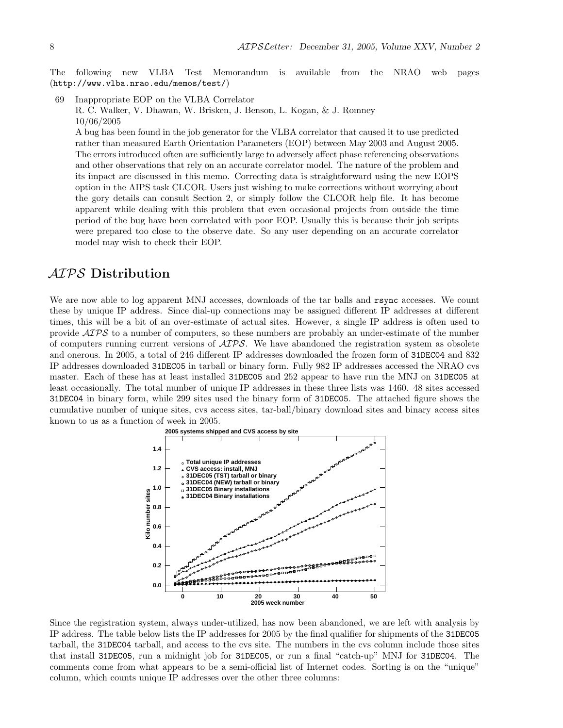The following new VLBA Test Memorandum is available from the NRAO web pages (http://www.vlba.nrao.edu/memos/test/)

69 Inappropriate EOP on the VLBA Correlator R. C. Walker, V. Dhawan, W. Brisken, J. Benson, L. Kogan, & J. Romney 10/06/2005 A bug has been found in the job generator for the VLBA correlator that caused it to use predicted rather than measured Earth Orientation Parameters (EOP) between May 2003 and August 2005. The errors introduced often are sufficiently large to adversely affect phase referencing observations and other observations that rely on an accurate correlator model. The nature of the problem and its impact are discussed in this memo. Correcting data is straightforward using the new EOPS option in the AIPS task CLCOR. Users just wishing to make corrections without worrying about the gory details can consult Section 2, or simply follow the CLCOR help file. It has become apparent while dealing with this problem that even occasional projects from outside the time period of the bug have been correlated with poor EOP. Usually this is because their job scripts were prepared too close to the observe date. So any user depending on an accurate correlator model may wish to check their EOP.

## AIPS Distribution

We are now able to log apparent MNJ accesses, downloads of the tar balls and rsync accesses. We count these by unique IP address. Since dial-up connections may be assigned different IP addresses at different times, this will be a bit of an over-estimate of actual sites. However, a single IP address is often used to provide  $\mathcal{AIPS}$  to a number of computers, so these numbers are probably an under-estimate of the number of computers running current versions of  $\mathcal{A}TPS$ . We have abandoned the registration system as obsolete and onerous. In 2005, a total of 246 different IP addresses downloaded the frozen form of 31DEC04 and 832 IP addresses downloaded 31DEC05 in tarball or binary form. Fully 982 IP addresses accessed the NRAO cvs master. Each of these has at least installed 31DEC05 and 252 appear to have run the MNJ on 31DEC05 at least occasionally. The total number of unique IP addresses in these three lists was 1460. 48 sites accessed 31DEC04 in binary form, while 299 sites used the binary form of 31DEC05. The attached figure shows the cumulative number of unique sites, cvs access sites, tar-ball/binary download sites and binary access sites known to us as a function of week in 2005.



Since the registration system, always under-utilized, has now been abandoned, we are left with analysis by IP address. The table below lists the IP addresses for 2005 by the final qualifier for shipments of the 31DEC05 tarball, the 31DEC04 tarball, and access to the cvs site. The numbers in the cvs column include those sites that install 31DEC05, run a midnight job for 31DEC05, or run a final "catch-up" MNJ for 31DEC04. The comments come from what appears to be a semi-official list of Internet codes. Sorting is on the "unique" column, which counts unique IP addresses over the other three columns: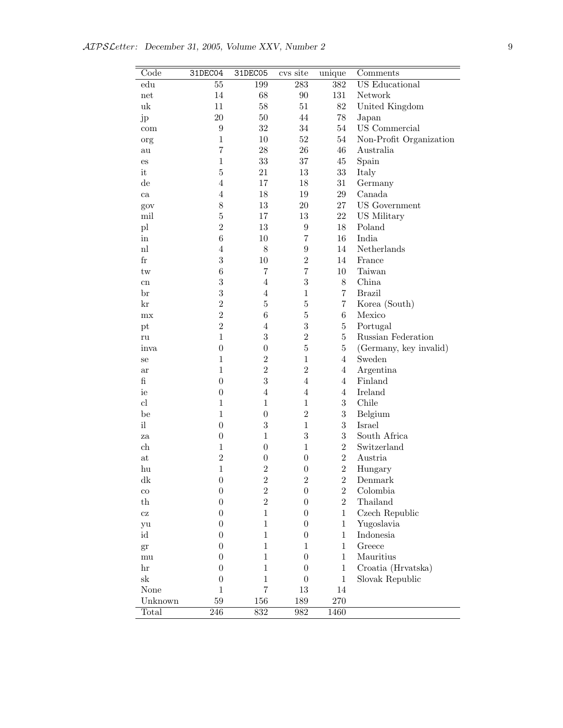| Code                   | 31DEC04          | 31DEC05          | cvs site         | unique         | Comments                |
|------------------------|------------------|------------------|------------------|----------------|-------------------------|
| $_{\rm edu}$           | $55\,$           | 199              | 283              | 382            | US Educational          |
| net                    | 14               | 68               | 90               | 131            | Network                 |
| uk                     | 11               | 58               | 51               | $82\,$         | United Kingdom          |
| jp                     | 20               | 50               | 44               | $78\,$         | Japan                   |
| com                    | $\boldsymbol{9}$ | 32               | 34               | 54             | US Commercial           |
| org                    | $\mathbf{1}$     | 10               | 52               | $54\,$         | Non-Profit Organization |
| au                     | $\overline{7}$   | 28               | 26               | 46             | Australia               |
| $\mathop{\mathrm{es}}$ | $\mathbf{1}$     | 33               | 37               | 45             | Spain                   |
| it                     | $\overline{5}$   | 21               | 13               | 33             | Italy                   |
| $\mathrm{d}\mathrm{e}$ | $\overline{4}$   | 17               | 18               | $31\,$         | Germany                 |
| ca                     | $\overline{4}$   | 18               | 19               | $\,29$         | Canada                  |
| gov                    | $8\,$            | 13               | $20\,$           | 27             | <b>US</b> Government    |
| mil                    | $\bf 5$          | 17               | 13               | 22             | US Military             |
| $\mathbf{p}$           | $\overline{2}$   | 13               | $\boldsymbol{9}$ | 18             | Poland                  |
| in                     | $\,6$            | 10               | $\overline{7}$   | 16             | India                   |
| n                      | $\overline{4}$   | $8\,$            | $\boldsymbol{9}$ | 14             | Netherlands             |
| $\rm fr$               | 3                | 10               | $\overline{2}$   | 14             | France                  |
| tw                     | $\,6$            | $\overline{7}$   | $\overline{7}$   | 10             | Taiwan                  |
| cn                     | $\sqrt{3}$       | $\overline{4}$   | $\overline{3}$   | $8\,$          | China                   |
| br                     | $\sqrt{3}$       | $\overline{4}$   | $\mathbf{1}$     | $\overline{7}$ | <b>Brazil</b>           |
| kr                     | $\sqrt{2}$       | $\bf 5$          | $\bf 5$          | $\overline{7}$ | Korea (South)           |
| mx                     | $\sqrt{2}$       | $\,6$            | $\bf 5$          | $\,6$          | Mexico                  |
| pt                     | $\overline{2}$   | $\overline{4}$   | $\overline{3}$   | $\bf 5$        | Portugal                |
| ru                     | $\mathbf{1}$     | 3                | $\overline{2}$   | $\overline{5}$ | Russian Federation      |
| inva                   | $\boldsymbol{0}$ | $\boldsymbol{0}$ | $\overline{5}$   | $\bf 5$        | (Germany, key invalid)  |
| se                     | $\mathbf{1}$     | $\overline{2}$   | $\mathbf{1}$     | $\overline{4}$ | Sweden                  |
| ar                     | $\mathbf{1}$     | $\overline{2}$   | $\overline{2}$   | $\overline{4}$ | Argentina               |
| $\mathbf f$            | $\boldsymbol{0}$ | 3                | $\overline{4}$   | $\overline{4}$ | Finland                 |
| ie                     | $\boldsymbol{0}$ | $\overline{4}$   | $\overline{4}$   | $\overline{4}$ | Ireland                 |
| cl                     | $\mathbf{1}$     | $\mathbf{1}$     | $\mathbf{1}$     | 3              | Chile                   |
| be                     | $\mathbf{1}$     | $\boldsymbol{0}$ | $\overline{2}$   | $\sqrt{3}$     | Belgium                 |
| i                      | $\boldsymbol{0}$ | $\overline{3}$   | $\mathbf{1}$     | 3              | Israel                  |
| za                     | $\boldsymbol{0}$ | $\mathbf{1}$     | $\sqrt{3}$       | 3              | South Africa            |
| ch                     | $\mathbf{1}$     | $\boldsymbol{0}$ | $\mathbf{1}$     | $\overline{2}$ | Switzerland             |
| at                     | $\overline{2}$   | $\boldsymbol{0}$ | $\boldsymbol{0}$ | $\overline{2}$ | Austria                 |
| hu                     | $\mathbf{1}$     | $\overline{2}$   | $\theta$         | $\,2$          | Hungary                 |
| dk                     | $\boldsymbol{0}$ | $\boldsymbol{2}$ | $\,2$            | $\overline{2}$ | $\mbox{Denmark}$        |
| $_{\rm co}$            | $\boldsymbol{0}$ | $\sqrt{2}$       | $\boldsymbol{0}$ | $\sqrt{2}$     | Colombia                |
| $^{th}$                | $\boldsymbol{0}$ | $\overline{2}$   | $\boldsymbol{0}$ | $\overline{2}$ | Thailand                |
| $\operatorname{cz}$    | $\boldsymbol{0}$ | $\mathbf{1}$     | $\boldsymbol{0}$ | $\mathbf{1}$   | Czech Republic          |
| yu                     | $\boldsymbol{0}$ | $\mathbf{1}$     | $\overline{0}$   | $\mathbf{1}$   | Yugoslavia              |
| id                     | $\boldsymbol{0}$ | $\mathbf{1}$     | $\boldsymbol{0}$ | $\mathbf{1}$   | Indonesia               |
| gr                     | $\boldsymbol{0}$ | $\mathbf{1}$     | $\mathbf{1}$     | $\mathbf{1}$   | Greece                  |
| mu                     | $\boldsymbol{0}$ | $\mathbf{1}$     | $\boldsymbol{0}$ | $\mathbf{1}$   | Mauritius               |
| $\operatorname{hr}$    | $\boldsymbol{0}$ | $\mathbf{1}$     | $\boldsymbol{0}$ | $\mathbf{1}$   | Croatia (Hrvatska)      |
| sk                     | $\boldsymbol{0}$ | $\mathbf{1}$     | $\boldsymbol{0}$ | $\mathbf{1}$   | Slovak Republic         |
| None                   | $\mathbf{1}$     | $\overline{7}$   | $13\,$           | 14             |                         |
| Unknown                | 59               | 156              | 189              | $270\,$        |                         |
| Total                  | $\overline{246}$ | 832              | 982              | 1460           |                         |